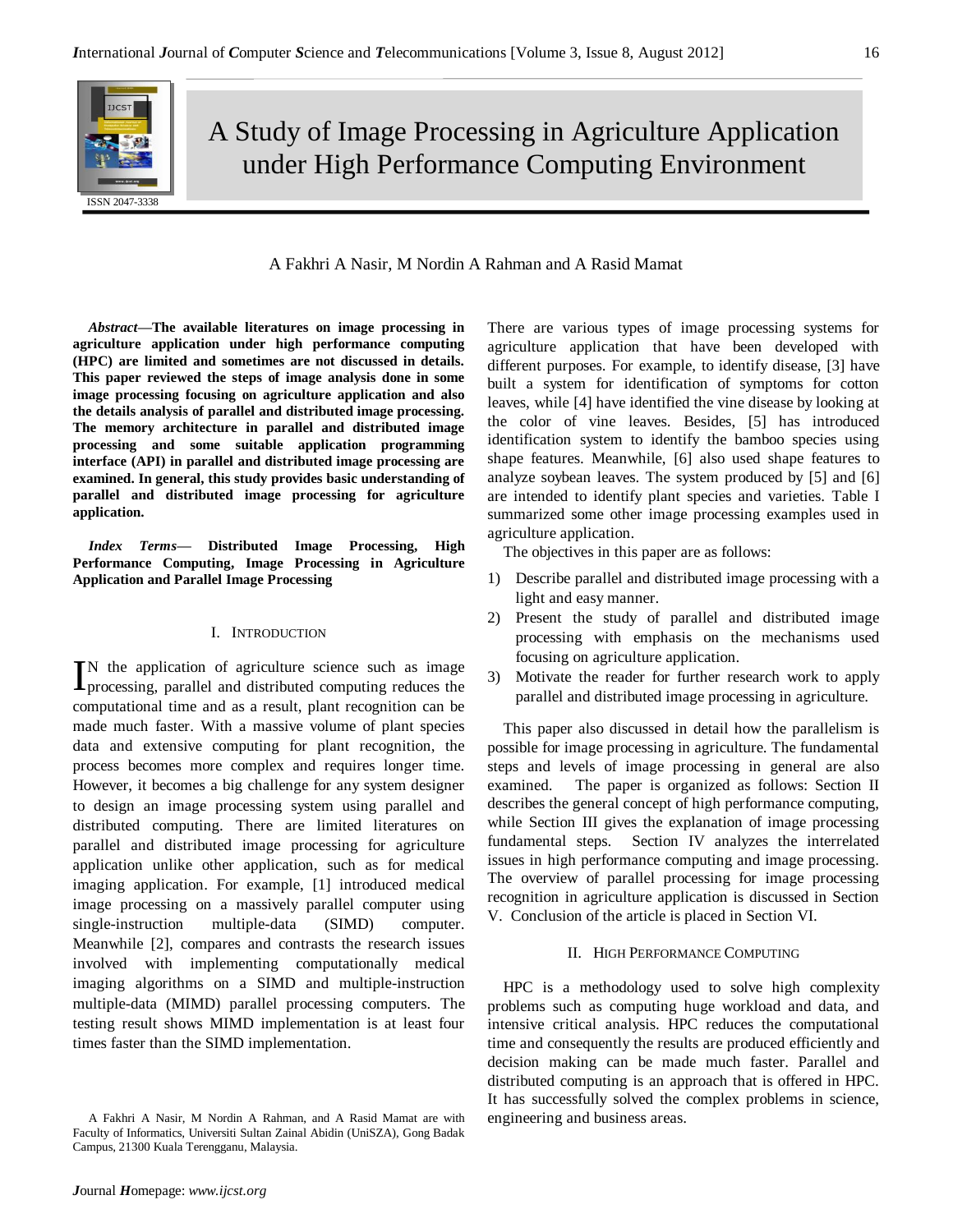A Study of Image Processing in Agriculture Application under High Performance Computing Environment

# A Fakhri A Nasir, M Nordin A Rahman and A Rasid Mamat

*Abstract***—The available literatures on image processing in agriculture application under high performance computing (HPC) are limited and sometimes are not discussed in details. This paper reviewed the steps of image analysis done in some image processing focusing on agriculture application and also the details analysis of parallel and distributed image processing. The memory architecture in parallel and distributed image processing and some suitable application programming interface (API) in parallel and distributed image processing are examined. In general, this study provides basic understanding of parallel and distributed image processing for agriculture application.**

*Index Terms***— Distributed Image Processing, High Performance Computing, Image Processing in Agriculture Application and Parallel Image Processing**

# I. INTRODUCTION

N the application of agriculture science such as image IN the application of agriculture science such as image processing, parallel and distributed computing reduces the computational time and as a result, plant recognition can be made much faster. With a massive volume of plant species data and extensive computing for plant recognition, the process becomes more complex and requires longer time. However, it becomes a big challenge for any system designer to design an image processing system using parallel and distributed computing. There are limited literatures on parallel and distributed image processing for agriculture application unlike other application, such as for medical imaging application. For example, [1] introduced medical image processing on a massively parallel computer using single-instruction multiple-data (SIMD) computer. Meanwhile [2], compares and contrasts the research issues involved with implementing computationally medical imaging algorithms on a SIMD and multiple-instruction multiple-data (MIMD) parallel processing computers. The testing result shows MIMD implementation is at least four times faster than the SIMD implementation.

There are various types of image processing systems for agriculture application that have been developed with different purposes. For example, to identify disease, [3] have built a system for identification of symptoms for cotton leaves, while [4] have identified the vine disease by looking at the color of vine leaves. Besides, [5] has introduced identification system to identify the bamboo species using shape features. Meanwhile, [6] also used shape features to analyze soybean leaves. The system produced by [5] and [6] are intended to identify plant species and varieties. Table I summarized some other image processing examples used in agriculture application.

The objectives in this paper are as follows:

- 1) Describe parallel and distributed image processing with a light and easy manner.
- 2) Present the study of parallel and distributed image processing with emphasis on the mechanisms used focusing on agriculture application.
- 3) Motivate the reader for further research work to apply parallel and distributed image processing in agriculture.

This paper also discussed in detail how the parallelism is possible for image processing in agriculture. The fundamental steps and levels of image processing in general are also examined. The paper is organized as follows: Section II describes the general concept of high performance computing, while Section III gives the explanation of image processing fundamental steps. Section IV analyzes the interrelated issues in high performance computing and image processing. The overview of parallel processing for image processing recognition in agriculture application is discussed in Section V. Conclusion of the article is placed in Section VI.

### II. HIGH PERFORMANCE COMPUTING

HPC is a methodology used to solve high complexity problems such as computing huge workload and data, and intensive critical analysis. HPC reduces the computational time and consequently the results are produced efficiently and decision making can be made much faster. Parallel and distributed computing is an approach that is offered in HPC. It has successfully solved the complex problems in science, engineering and business areas.

A Fakhri A Nasir, M Nordin A Rahman, and A Rasid Mamat are with Faculty of Informatics, Universiti Sultan Zainal Abidin (UniSZA), Gong Badak Campus, 21300 Kuala Terengganu, Malaysia.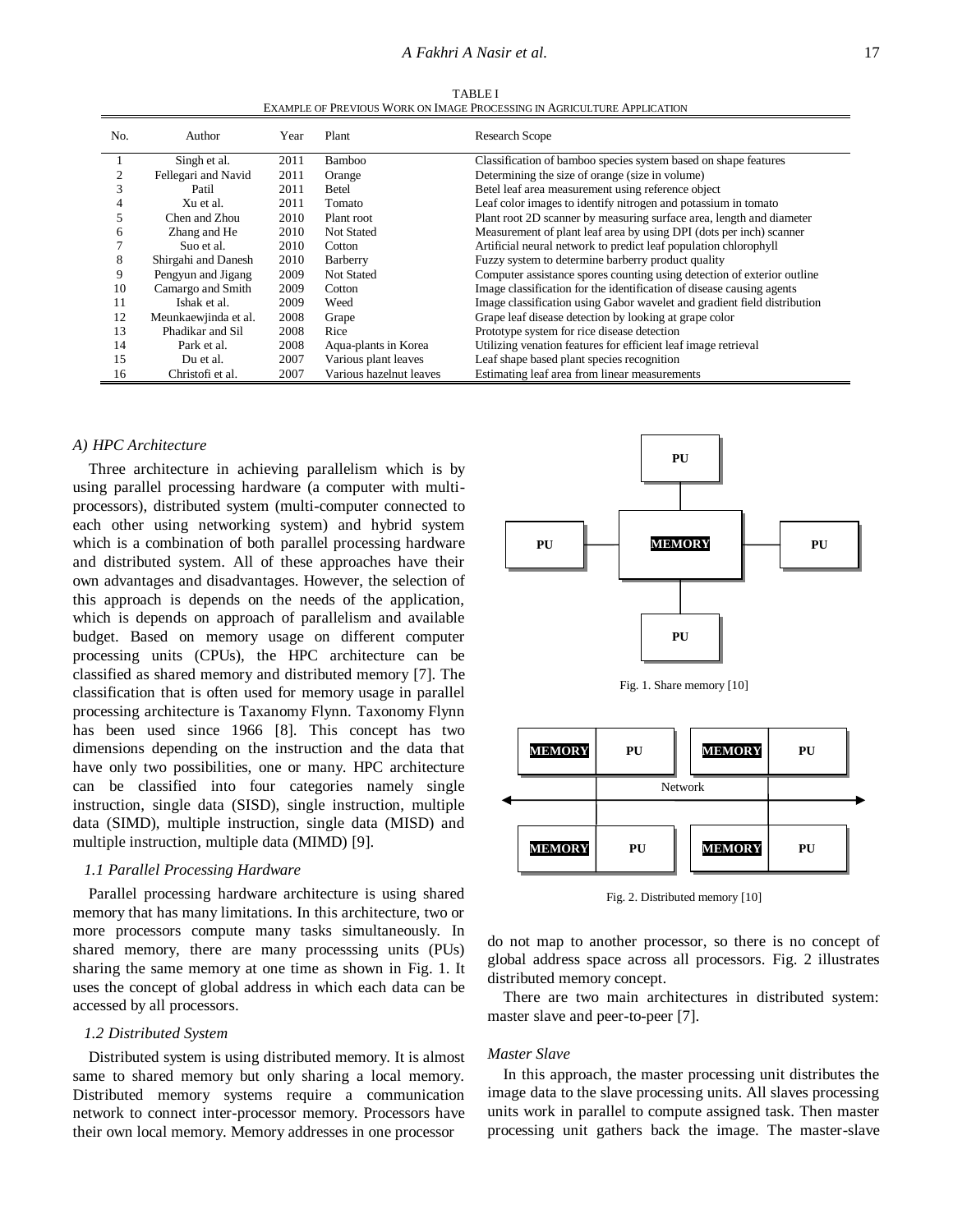TABLE I EXAMPLE OF PREVIOUS WORK ON IMAGE PROCESSING IN AGRICULTURE APPLICATION

| No. | Author               | Year | Plant                                                                      | <b>Research Scope</b>                                                    |  |
|-----|----------------------|------|----------------------------------------------------------------------------|--------------------------------------------------------------------------|--|
|     | Singh et al.         | 2011 | Bamboo                                                                     | Classification of bamboo species system based on shape features          |  |
|     | Fellegari and Navid  | 2011 | Orange                                                                     | Determining the size of orange (size in volume)                          |  |
|     | Patil                | 2011 | Betel                                                                      | Betel leaf area measurement using reference object                       |  |
|     | Xu et al.            | 2011 | Tomato                                                                     | Leaf color images to identify nitrogen and potassium in tomato           |  |
|     | Chen and Zhou        | 2010 | Plant root                                                                 | Plant root 2D scanner by measuring surface area, length and diameter     |  |
| h   | Zhang and He         | 2010 | <b>Not Stated</b>                                                          | Measurement of plant leaf area by using DPI (dots per inch) scanner      |  |
|     | Suo et al.           | 2010 | Artificial neural network to predict leaf population chlorophyll<br>Cotton |                                                                          |  |
| 8   | Shirgahi and Danesh  | 2010 | Fuzzy system to determine barberry product quality<br>Barberry             |                                                                          |  |
| 9   | Pengyun and Jigang   | 2009 | <b>Not Stated</b>                                                          | Computer assistance spores counting using detection of exterior outline  |  |
| 10  | Camargo and Smith    | 2009 | Cotton                                                                     | Image classification for the identification of disease causing agents    |  |
| 11  | Ishak et al.         | 2009 | Weed                                                                       | Image classification using Gabor wavelet and gradient field distribution |  |
| 12  | Meunkaewjinda et al. | 2008 | Grape                                                                      | Grape leaf disease detection by looking at grape color                   |  |
| 13  | Phadikar and Sil     | 2008 | Rice                                                                       | Prototype system for rice disease detection                              |  |
| 14  | Park et al.          | 2008 | Aqua-plants in Korea                                                       | Utilizing venation features for efficient leaf image retrieval           |  |
| 15  | Du et al.            | 2007 | Various plant leaves                                                       | Leaf shape based plant species recognition                               |  |
| 16  | Christofi et al.     | 2007 | Various hazelnut leaves                                                    | Estimating leaf area from linear measurements                            |  |

# *A) HPC Architecture*

Three architecture in achieving parallelism which is by using parallel processing hardware (a computer with multiprocessors), distributed system (multi-computer connected to each other using networking system) and hybrid system which is a combination of both parallel processing hardware and distributed system. All of these approaches have their own advantages and disadvantages. However, the selection of this approach is depends on the needs of the application, which is depends on approach of parallelism and available budget. Based on memory usage on different computer processing units (CPUs), the HPC architecture can be classified as shared memory and distributed memory [7]. The classification that is often used for memory usage in parallel processing architecture is Taxanomy Flynn. Taxonomy Flynn has been used since 1966 [8]. This concept has two dimensions depending on the instruction and the data that have only two possibilities, one or many. HPC architecture can be classified into four categories namely single instruction, single data (SISD), single instruction, multiple data (SIMD), multiple instruction, single data (MISD) and multiple instruction, multiple data (MIMD) [9].

### *1.1 Parallel Processing Hardware*

Parallel processing hardware architecture is using shared memory that has many limitations. In this architecture, two or more processors compute many tasks simultaneously. In shared memory, there are many processsing units (PUs) sharing the same memory at one time as shown in Fig. 1. It uses the concept of global address in which each data can be accessed by all processors.

### *1.2 Distributed System*

Distributed system is using distributed memory. It is almost same to shared memory but only sharing a local memory. Distributed memory systems require a communication network to connect inter-processor memory. Processors have their own local memory. Memory addresses in one processor







Fig. 2. Distributed memory [10]

do not map to another processor, so there is no concept of global address space across all processors. Fig. 2 illustrates distributed memory concept.

There are two main architectures in distributed system: master slave and peer-to-peer [7].

#### *Master Slave*

In this approach, the master processing unit distributes the image data to the slave processing units. All slaves processing units work in parallel to compute assigned task. Then master processing unit gathers back the image. The master-slave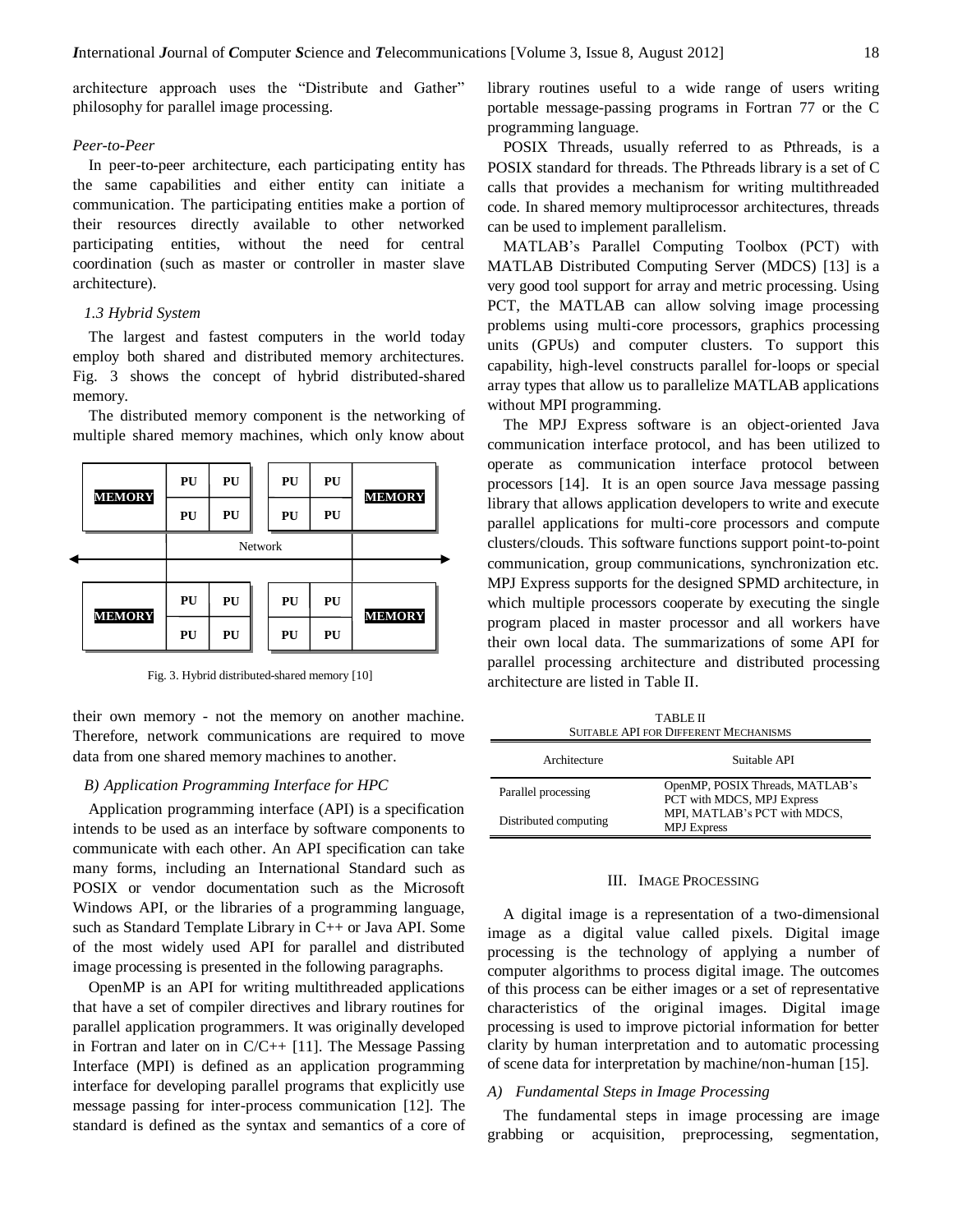architecture approach uses the "Distribute and Gather" philosophy for parallel image processing.

# *Peer-to-Peer*

In peer-to-peer architecture, each participating entity has the same capabilities and either entity can initiate a communication. The participating entities make a portion of their resources directly available to other networked participating entities, without the need for central coordination (such as master or controller in master slave architecture).

### *1.3 Hybrid System*

The largest and fastest computers in the world today employ both shared and distributed memory architectures. Fig. 3 shows the concept of hybrid distributed-shared memory.

The distributed memory component is the networking of multiple shared memory machines, which only know about



Fig. 3. Hybrid distributed-shared memory [10]

their own memory - not the memory on another machine. Therefore, network communications are required to move data from one shared memory machines to another.

# *B) Application Programming Interface for HPC*

Application programming interface (API) is a specification intends to be used as an interface by software components to communicate with each other. An API specification can take many forms, including an International Standard such as POSIX or vendor documentation such as the Microsoft Windows API, or the libraries of a programming language, such as Standard Template Library in C++ or Java API. Some of the most widely used API for parallel and distributed image processing is presented in the following paragraphs.

OpenMP is an API for writing multithreaded applications that have a set of compiler directives and library routines for parallel application programmers. It was originally developed in Fortran and later on in C/C++ [11]. The Message Passing Interface (MPI) is defined as an application programming interface for developing parallel programs that explicitly use message passing for inter-process communication [12]. The standard is defined as the syntax and semantics of a core of library routines useful to a wide range of users writing portable message-passing programs in Fortran 77 or the C programming language.

POSIX Threads, usually referred to as Pthreads, is a POSIX standard for threads. The Pthreads library is a set of C calls that provides a mechanism for writing multithreaded code. In shared memory multiprocessor architectures, threads can be used to implement parallelism.

MATLAB's Parallel Computing Toolbox (PCT) with MATLAB Distributed Computing Server (MDCS) [13] is a very good tool support for array and metric processing. Using PCT, the MATLAB can allow solving image processing problems using multi-core processors, graphics processing units (GPUs) and computer clusters. To support this capability, high-level constructs parallel for-loops or special array types that allow us to parallelize MATLAB applications without MPI programming.

The MPJ Express software is an object-oriented Java communication interface protocol, and has been utilized to operate as communication interface protocol between processors [14]. It is an open source Java message passing library that allows application developers to write and execute parallel applications for multi-core processors and compute clusters/clouds. This software functions support point-to-point communication, group communications, synchronization etc. MPJ Express supports for the designed SPMD architecture, in which multiple processors cooperate by executing the single program placed in master processor and all workers have their own local data. The summarizations of some API for parallel processing architecture and distributed processing architecture are listed in Table II. grabbing or acquisition, preprocessing, segmentation, **MEMORY**

TABLE II SUITABLE API FOR DIFFERENT MECHANISMS

| Architecture          | Suitable API                                                  |  |  |  |
|-----------------------|---------------------------------------------------------------|--|--|--|
| Parallel processing   | OpenMP, POSIX Threads, MATLAB's<br>PCT with MDCS, MPJ Express |  |  |  |
| Distributed computing | MPI, MATLAB's PCT with MDCS,<br><b>MPJ</b> Express            |  |  |  |

#### III. IMAGE PROCESSING

A digital image is a representation of a two-dimensional image as a digital value called pixels. Digital image processing is the technology of applying a number of computer algorithms to process digital image. The outcomes of this process can be either images or a set of representative characteristics of the original images. Digital image processing is used to improve pictorial information for better clarity by human interpretation and to automatic processing of scene data for interpretation by machine/non-human [15].

#### *A) Fundamental Steps in Image Processing*

The fundamental steps in image processing are image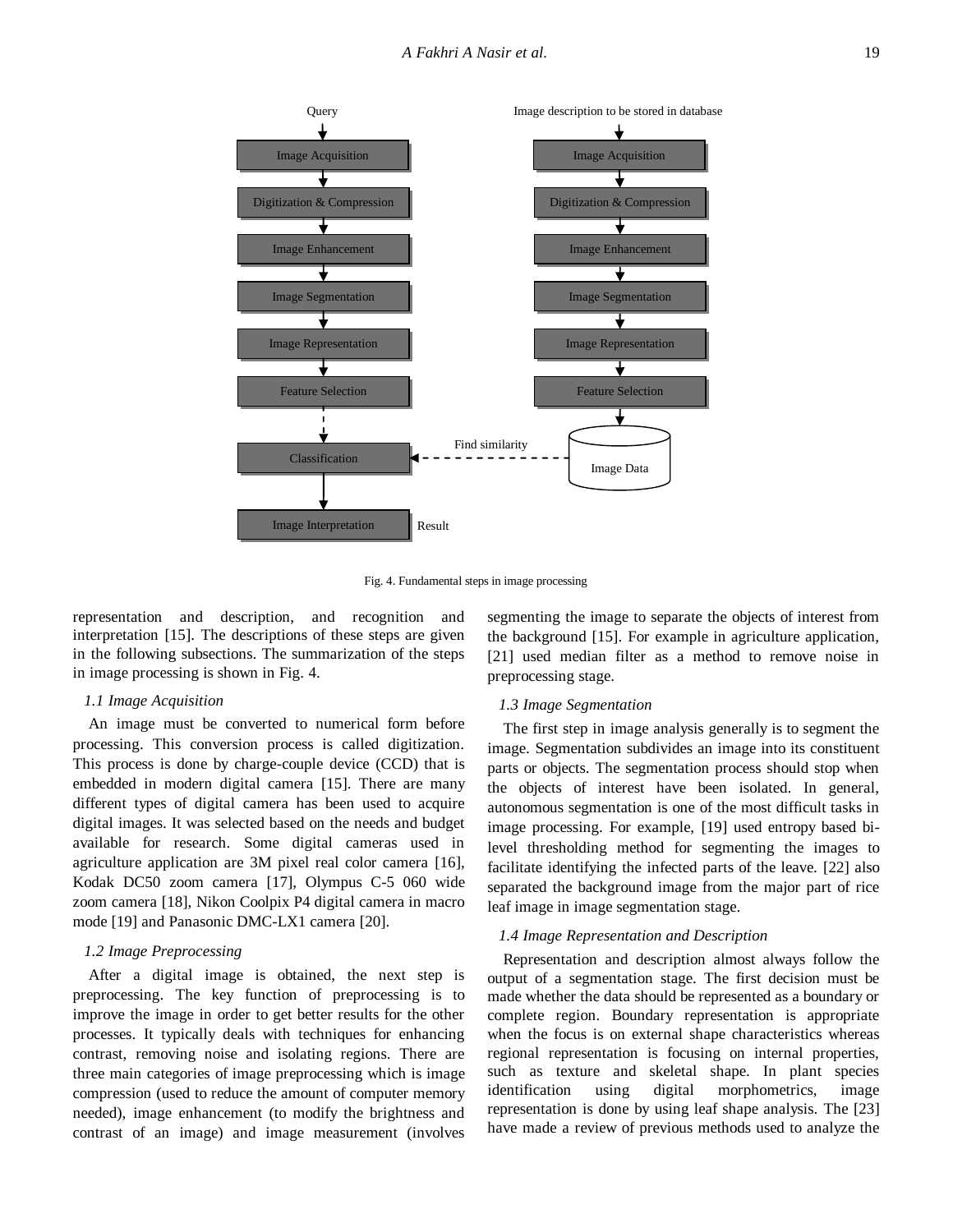

Fig. 4. Fundamental steps in image processing

representation and description, and recognition and interpretation [15]. The descriptions of these steps are given in the following subsections. The summarization of the steps in image processing is shown in Fig. 4.

### *1.1 Image Acquisition*

An image must be converted to numerical form before processing. This conversion process is called digitization. This process is done by charge-couple device (CCD) that is embedded in modern digital camera [15]. There are many different types of digital camera has been used to acquire digital images. It was selected based on the needs and budget available for research. Some digital cameras used in agriculture application are 3M pixel real color camera [16], Kodak DC50 zoom camera [17], Olympus C-5 060 wide zoom camera [18], Nikon Coolpix P4 digital camera in macro mode [19] and Panasonic DMC-LX1 camera [20].

### *1.2 Image Preprocessing*

After a digital image is obtained, the next step is preprocessing. The key function of preprocessing is to improve the image in order to get better results for the other processes. It typically deals with techniques for enhancing contrast, removing noise and isolating regions. There are three main categories of image preprocessing which is image compression (used to reduce the amount of computer memory needed), image enhancement (to modify the brightness and contrast of an image) and image measurement (involves

segmenting the image to separate the objects of interest from the background [15]. For example in agriculture application, [21] used median filter as a method to remove noise in preprocessing stage.

### *1.3 Image Segmentation*

The first step in image analysis generally is to segment the image. Segmentation subdivides an image into its constituent parts or objects. The segmentation process should stop when the objects of interest have been isolated. In general, autonomous segmentation is one of the most difficult tasks in image processing. For example, [19] used entropy based bilevel thresholding method for segmenting the images to facilitate identifying the infected parts of the leave. [22] also separated the background image from the major part of rice leaf image in image segmentation stage.

### *1.4 Image Representation and Description*

Representation and description almost always follow the output of a segmentation stage. The first decision must be made whether the data should be represented as a boundary or complete region. Boundary representation is appropriate when the focus is on external shape characteristics whereas regional representation is focusing on internal properties, such as texture and skeletal shape. In plant species identification using digital morphometrics, image representation is done by using leaf shape analysis. The [23] have made a review of previous methods used to analyze the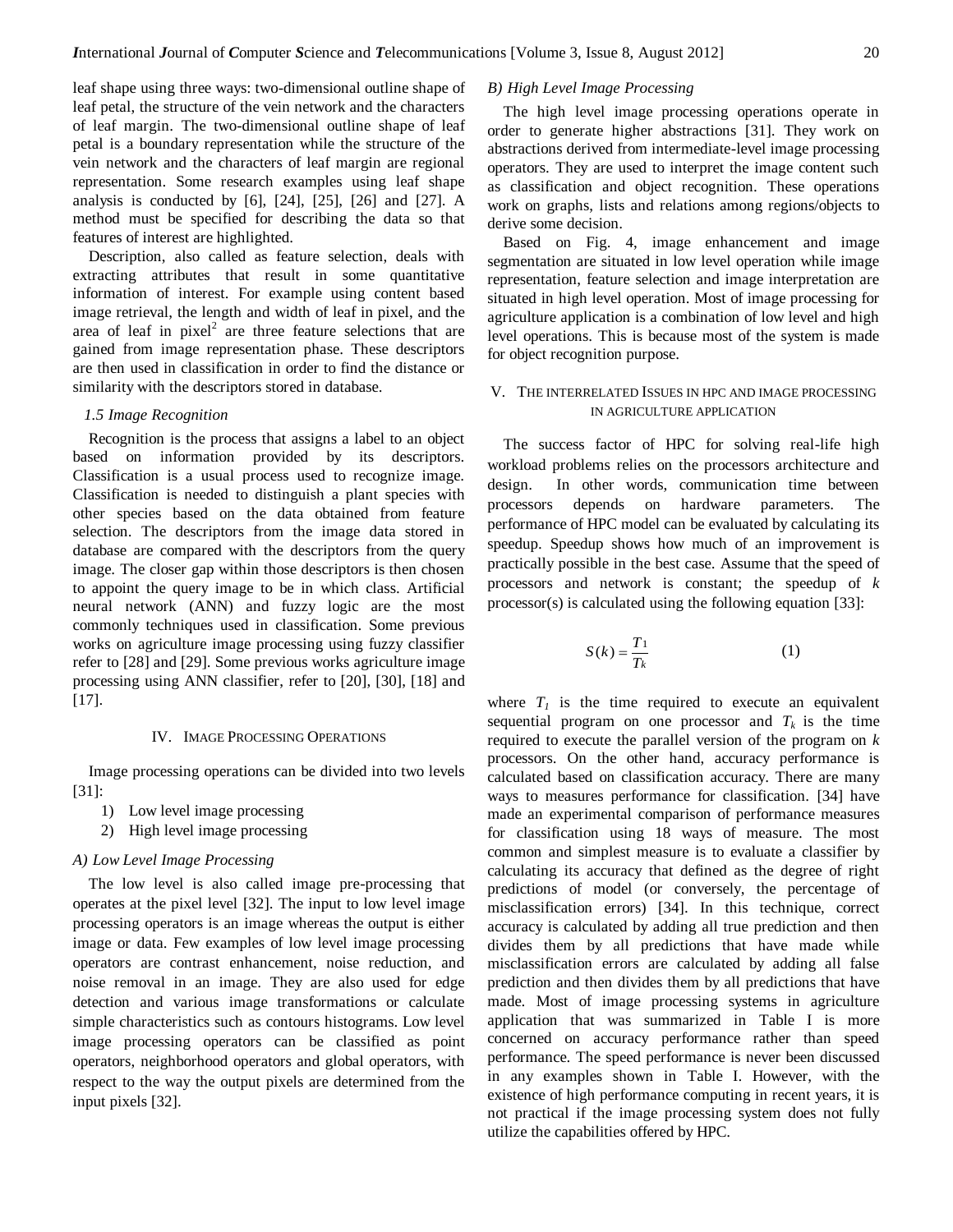leaf shape using three ways: two-dimensional outline shape of leaf petal, the structure of the vein network and the characters of leaf margin. The two-dimensional outline shape of leaf petal is a boundary representation while the structure of the vein network and the characters of leaf margin are regional representation. Some research examples using leaf shape analysis is conducted by [6], [24], [25], [26] and [27]. A method must be specified for describing the data so that features of interest are highlighted.

Description, also called as feature selection, deals with extracting attributes that result in some quantitative information of interest. For example using content based image retrieval, the length and width of leaf in pixel, and the area of leaf in pixel<sup>2</sup> are three feature selections that are gained from image representation phase. These descriptors are then used in classification in order to find the distance or similarity with the descriptors stored in database.

### *1.5 Image Recognition*

Recognition is the process that assigns a label to an object based on information provided by its descriptors. Classification is a usual process used to recognize image. Classification is needed to distinguish a plant species with other species based on the data obtained from feature selection. The descriptors from the image data stored in database are compared with the descriptors from the query image. The closer gap within those descriptors is then chosen to appoint the query image to be in which class. Artificial neural network (ANN) and fuzzy logic are the most commonly techniques used in classification. Some previous works on agriculture image processing using fuzzy classifier refer to [28] and [29]. Some previous works agriculture image processing using ANN classifier, refer to [20], [30], [18] and [17].

### IV. IMAGE PROCESSING OPERATIONS

Image processing operations can be divided into two levels [31]:

- 1) Low level image processing
- 2) High level image processing

#### *A) Low Level Image Processing*

The low level is also called image pre-processing that operates at the pixel level [32]. The input to low level image processing operators is an image whereas the output is either image or data. Few examples of low level image processing operators are contrast enhancement, noise reduction, and noise removal in an image. They are also used for edge detection and various image transformations or calculate simple characteristics such as contours histograms. Low level image processing operators can be classified as point operators, neighborhood operators and global operators, with respect to the way the output pixels are determined from the input pixels [32].

#### *B) High Level Image Processing*

The high level image processing operations operate in order to generate higher abstractions [31]. They work on abstractions derived from intermediate-level image processing operators. They are used to interpret the image content such as classification and object recognition. These operations work on graphs, lists and relations among regions/objects to derive some decision.

Based on Fig. 4, image enhancement and image segmentation are situated in low level operation while image representation, feature selection and image interpretation are situated in high level operation. Most of image processing for agriculture application is a combination of low level and high level operations. This is because most of the system is made for object recognition purpose.

# V. THE INTERRELATED ISSUES IN HPC AND IMAGE PROCESSING IN AGRICULTURE APPLICATION

The success factor of HPC for solving real-life high workload problems relies on the processors architecture and design. In other words, communication time between processors depends on hardware parameters. The performance of HPC model can be evaluated by calculating its speedup. Speedup shows how much of an improvement is practically possible in the best case. Assume that the speed of processors and network is constant; the speedup of *k* processor(s) is calculated using the following equation [33]:

$$
S(k) = \frac{T_1}{T_k} \tag{1}
$$

where  $T_I$  is the time required to execute an equivalent sequential program on one processor and  $T_k$  is the time required to execute the parallel version of the program on *k* processors. On the other hand, accuracy performance is calculated based on classification accuracy. There are many ways to measures performance for classification. [34] have made an experimental comparison of performance measures for classification using 18 ways of measure. The most common and simplest measure is to evaluate a classifier by calculating its accuracy that defined as the degree of right predictions of model (or conversely, the percentage of misclassification errors) [34]. In this technique, correct accuracy is calculated by adding all true prediction and then divides them by all predictions that have made while misclassification errors are calculated by adding all false prediction and then divides them by all predictions that have made. Most of image processing systems in agriculture application that was summarized in Table I is more concerned on accuracy performance rather than speed performance. The speed performance is never been discussed in any examples shown in Table I. However, with the existence of high performance computing in recent years, it is not practical if the image processing system does not fully utilize the capabilities offered by HPC.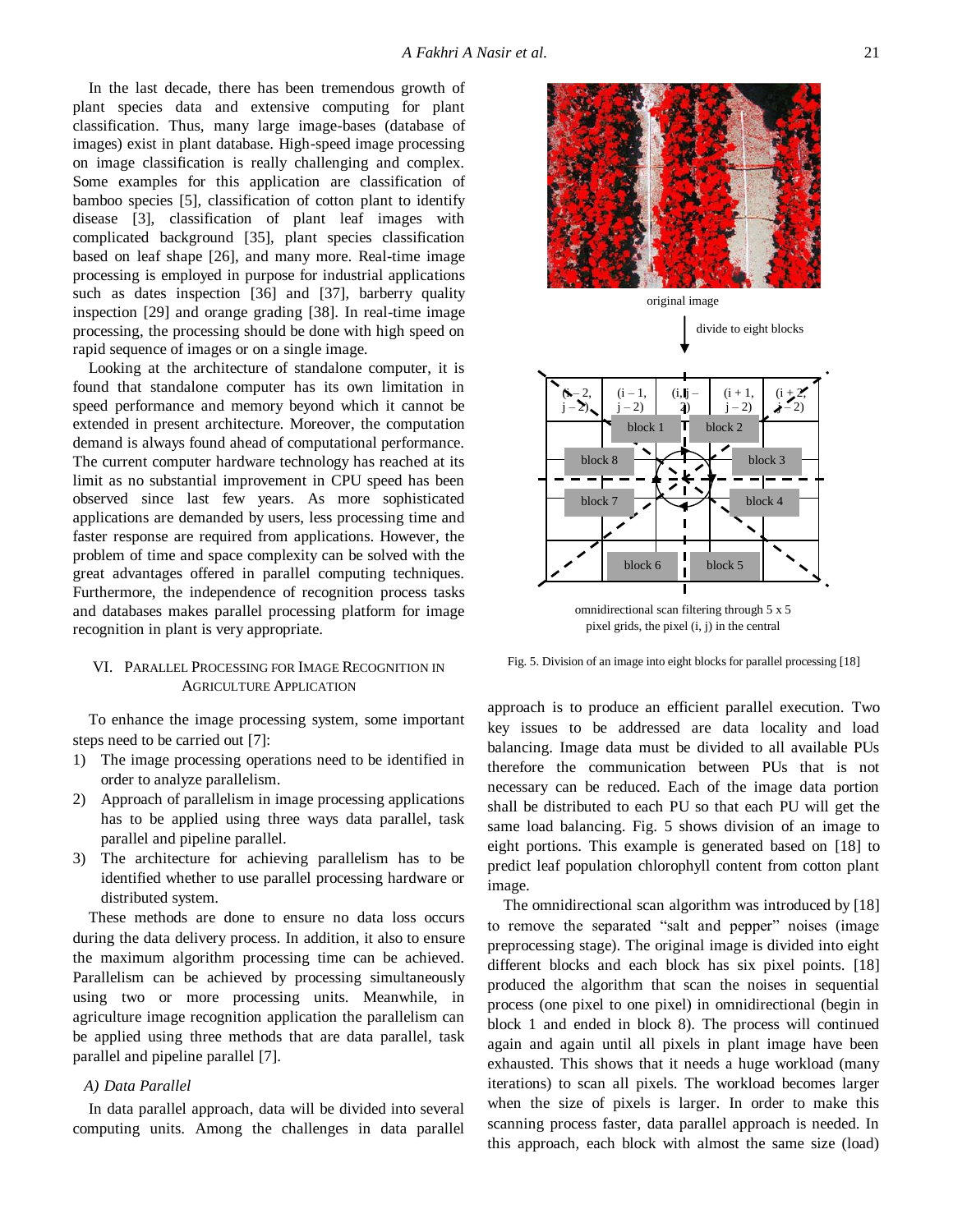In the last decade, there has been tremendous growth of plant species data and extensive computing for plant classification. Thus, many large image-bases (database of images) exist in plant database. High-speed image processing on image classification is really challenging and complex. Some examples for this application are classification of bamboo species [5], classification of cotton plant to identify disease [3], classification of plant leaf images with complicated background [35], plant species classification based on leaf shape [26], and many more. Real-time image processing is employed in purpose for industrial applications such as dates inspection [36] and [37], barberry quality inspection [29] and orange grading [38]. In real-time image processing, the processing should be done with high speed on rapid sequence of images or on a single image.

Looking at the architecture of standalone computer, it is found that standalone computer has its own limitation in speed performance and memory beyond which it cannot be extended in present architecture. Moreover, the computation demand is always found ahead of computational performance. The current computer hardware technology has reached at its limit as no substantial improvement in CPU speed has been observed since last few years. As more sophisticated applications are demanded by users, less processing time and faster response are required from applications. However, the problem of time and space complexity can be solved with the great advantages offered in parallel computing techniques. Furthermore, the independence of recognition process tasks and databases makes parallel processing platform for image recognition in plant is very appropriate.

# VI. PARALLEL PROCESSING FOR IMAGE RECOGNITION IN AGRICULTURE APPLICATION

To enhance the image processing system, some important steps need to be carried out [7]:

- 1) The image processing operations need to be identified in order to analyze parallelism.
- 2) Approach of parallelism in image processing applications has to be applied using three ways data parallel, task parallel and pipeline parallel.
- 3) The architecture for achieving parallelism has to be identified whether to use parallel processing hardware or distributed system.

These methods are done to ensure no data loss occurs during the data delivery process. In addition, it also to ensure the maximum algorithm processing time can be achieved. Parallelism can be achieved by processing simultaneously using two or more processing units. Meanwhile, in agriculture image recognition application the parallelism can be applied using three methods that are data parallel, task parallel and pipeline parallel [7].

# *A) Data Parallel*

In data parallel approach, data will be divided into several computing units. Among the challenges in data parallel

 $\mathcal{D}_{\mathcal{A}}$  $i - 2$ ).  $(i - 1,$  $(i - 2)$  $(i, j)$ 2)  $(i + 1,$  $i - 2$  $(i)$  $j - 2$ ) block 8 block 7 block 6 block 5 block 4 block 3 block 1  $\mathbf{T}$  block 2 original image divide to eight blocks

omnidirectional scan filtering through 5 x 5 pixel grids, the pixel (i, j) in the central

Fig. 5. Division of an image into eight blocks for parallel processing [18]

approach is to produce an efficient parallel execution. Two key issues to be addressed are data locality and load balancing. Image data must be divided to all available PUs therefore the communication between PUs that is not necessary can be reduced. Each of the image data portion shall be distributed to each PU so that each PU will get the same load balancing. Fig. 5 shows division of an image to eight portions. This example is generated based on [18] to predict leaf population chlorophyll content from cotton plant image.

The omnidirectional scan algorithm was introduced by [18] to remove the separated "salt and pepper" noises (image preprocessing stage). The original image is divided into eight different blocks and each block has six pixel points. [18] produced the algorithm that scan the noises in sequential process (one pixel to one pixel) in omnidirectional (begin in block 1 and ended in block 8). The process will continued again and again until all pixels in plant image have been exhausted. This shows that it needs a huge workload (many iterations) to scan all pixels. The workload becomes larger when the size of pixels is larger. In order to make this scanning process faster, data parallel approach is needed. In this approach, each block with almost the same size (load)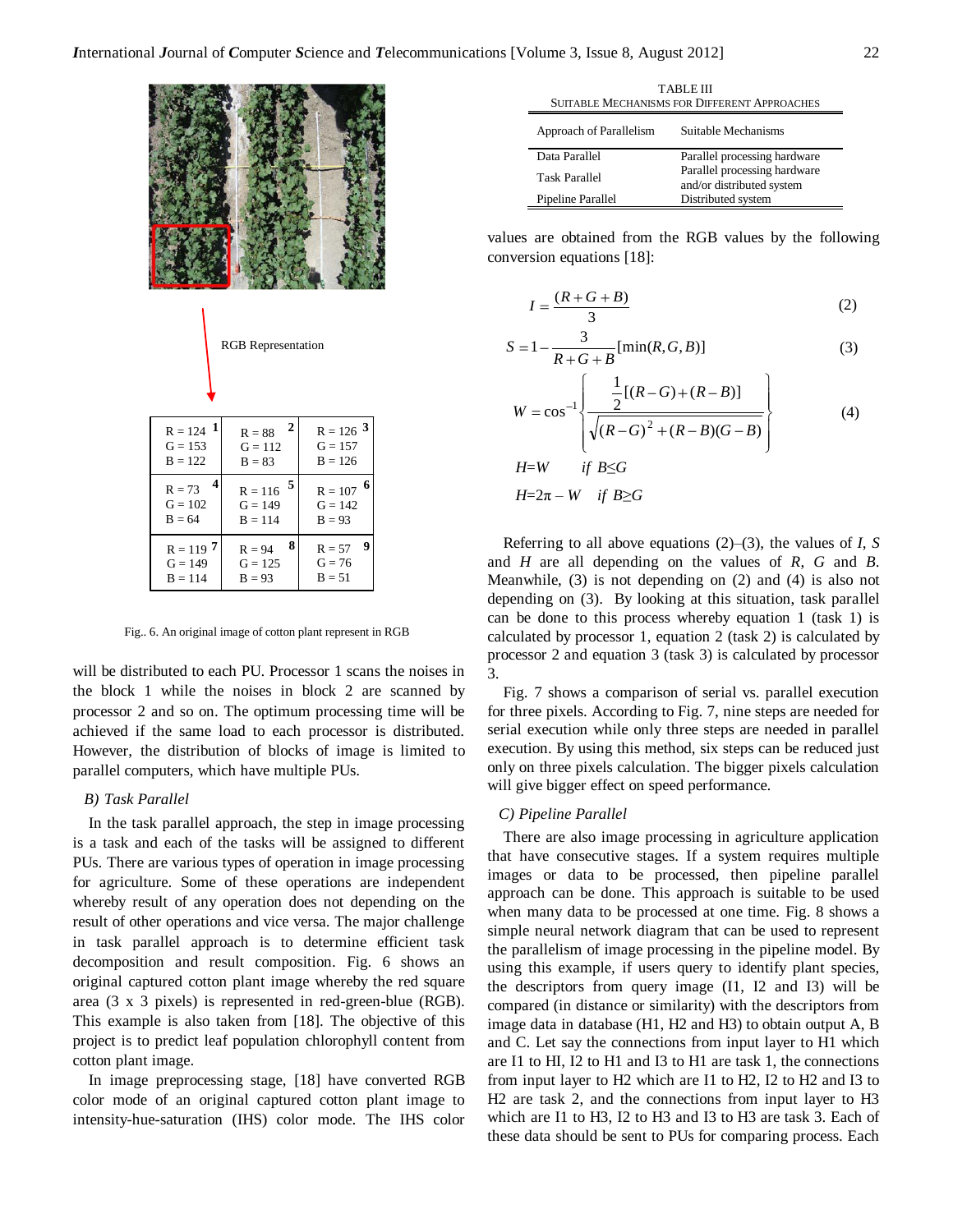

| $R = 124$ $\overline{1}$<br>$G = 153$<br>$B = 122$ | 2<br>$R = 88$<br>$G = 112$<br>$B = 83$   | $R = 126$ <sup>3</sup><br>$G = 157$<br>$B = 126$ |
|----------------------------------------------------|------------------------------------------|--------------------------------------------------|
| $R = 73$<br>$G = 102$<br>$B = 64$                  | 5<br>$R = 116$<br>$G = 149$<br>$B = 114$ | 6<br>$R = 107$<br>$G = 142$<br>$B = 93$          |
| $R = 119$ 7<br>$G = 149$<br>$B = 114$              | 8<br>$R = 94$<br>$G = 125$<br>$B = 93$   | 9<br>$R = 57$<br>$G = 76$<br>$B = 51$            |

Fig.. 6. An original image of cotton plant represent in RGB

will be distributed to each PU. Processor 1 scans the noises in the block 1 while the noises in block 2 are scanned by processor 2 and so on. The optimum processing time will be achieved if the same load to each processor is distributed. However, the distribution of blocks of image is limited to parallel computers, which have multiple PUs.

### *B) Task Parallel*

In the task parallel approach, the step in image processing is a task and each of the tasks will be assigned to different PUs. There are various types of operation in image processing for agriculture. Some of these operations are independent whereby result of any operation does not depending on the result of other operations and vice versa. The major challenge in task parallel approach is to determine efficient task decomposition and result composition. Fig. 6 shows an original captured cotton plant image whereby the red square area (3 x 3 pixels) is represented in red-green-blue (RGB). This example is also taken from [18]. The objective of this project is to predict leaf population chlorophyll content from cotton plant image.

In image preprocessing stage, [18] have converted RGB color mode of an original captured cotton plant image to intensity-hue-saturation (IHS) color mode. The IHS color

| TABLE III<br><b>SUITABLE MECHANISMS FOR DIFFERENT APPROACHES</b> |                                                           |  |  |  |
|------------------------------------------------------------------|-----------------------------------------------------------|--|--|--|
| Approach of Parallelism                                          | Suitable Mechanisms                                       |  |  |  |
| Data Parallel                                                    | Parallel processing hardware                              |  |  |  |
| <b>Task Parallel</b>                                             | Parallel processing hardware<br>and/or distributed system |  |  |  |
| Pipeline Parallel                                                | Distributed system                                        |  |  |  |

values are obtained from the RGB values by the following conversion equations [18]:

$$
I = \frac{(R+G+B)}{3} \tag{2}
$$

$$
S = 1 - \frac{3}{R + G + B} [\min(R, G, B)]
$$
 (3)

$$
W = \cos^{-1}\left\{\frac{\frac{1}{2}[(R-G) + (R-B)]}{\sqrt{(R-G)^{2} + (R-B)(G-B)}}\right\}
$$
(4)  
H=W if B \le G

$$
H = 2\pi - W \quad \text{if } B \ge G
$$

Referring to all above equations (2)–(3), the values of *I*, *S* and *H* are all depending on the values of *R*, *G* and *B*. Meanwhile, (3) is not depending on (2) and (4) is also not depending on (3). By looking at this situation, task parallel can be done to this process whereby equation 1 (task 1) is calculated by processor 1, equation 2 (task 2) is calculated by processor 2 and equation 3 (task 3) is calculated by processor 3.

Fig. 7 shows a comparison of serial vs. parallel execution for three pixels. According to Fig. 7, nine steps are needed for serial execution while only three steps are needed in parallel execution. By using this method, six steps can be reduced just only on three pixels calculation. The bigger pixels calculation will give bigger effect on speed performance.

### *C) Pipeline Parallel*

There are also image processing in agriculture application that have consecutive stages. If a system requires multiple images or data to be processed, then pipeline parallel approach can be done. This approach is suitable to be used when many data to be processed at one time. Fig. 8 shows a simple neural network diagram that can be used to represent the parallelism of image processing in the pipeline model. By using this example, if users query to identify plant species, the descriptors from query image (I1, I2 and I3) will be compared (in distance or similarity) with the descriptors from image data in database (H1, H2 and H3) to obtain output A, B and C. Let say the connections from input layer to H1 which are I1 to HI, I2 to H1 and I3 to H1 are task 1, the connections from input layer to H2 which are I1 to H2, I2 to H2 and I3 to H2 are task 2, and the connections from input layer to H3 which are I1 to H3, I2 to H3 and I3 to H3 are task 3. Each of KGB Representation<br>  $S = 1 - \frac{1}{R + G + B} [\text{min}(R, G, B)]$  (3)<br>  $R = 88$ <br>  $\frac{1}{R} = 1/18$ <br>  $\frac{1}{R} = 1/18$ <br>  $\frac{1}{R} = 1/18$ <br>  $\frac{1}{R} = 1/18$ <br>  $\frac{1}{R} = 1/18$ <br>  $\frac{1}{R} = 1/18$ <br>  $\frac{1}{R} = 1/18$ <br>  $\frac{1}{R} = 1/18$ <br>  $\frac{1}{R} = 1/18$ <br>  $\frac{$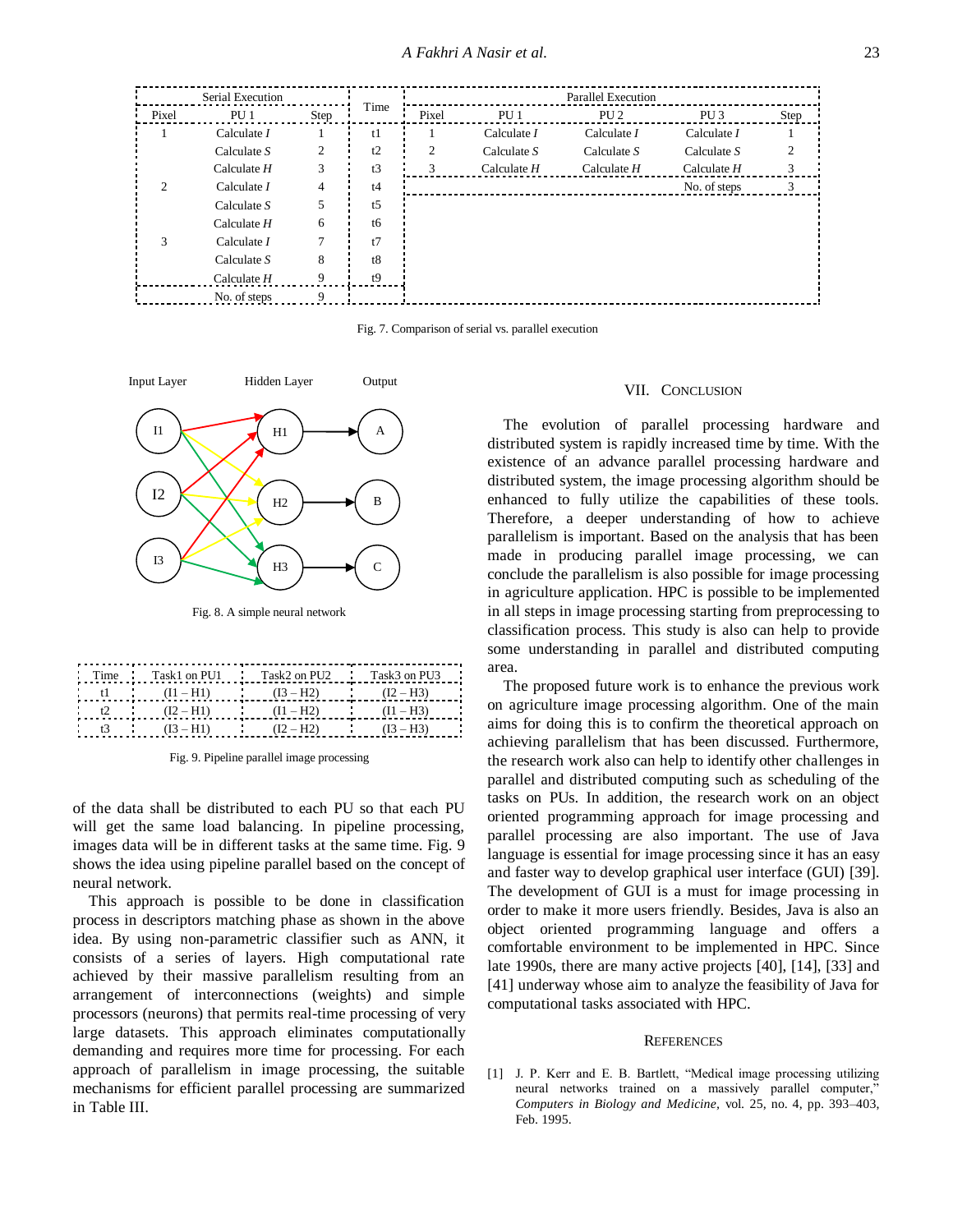| Serial Execution |                 |      |      | <b>Parallel Execution</b> |                 |                 |                 |      |
|------------------|-----------------|------|------|---------------------------|-----------------|-----------------|-----------------|------|
| Pixel            | PU <sub>1</sub> | Step | Time | Pixel                     | PU <sub>1</sub> | PU <sub>2</sub> | PU <sub>3</sub> | Step |
|                  | Calculate $I$   |      | t1   |                           | Calculate $I$   | Calculate $I$   | Calculate $I$   |      |
|                  | Calculate $S$   | 2    | t2   | 2                         | Calculate $S$   | Calculate $S$   | Calculate $S$   |      |
|                  | Calculate $H$   | 3    | t3   | 3                         | Calculate $H$   | Calculate $H$   | Calculate $H$   | 3    |
| C                | Calculate $I$   | 4    | t4   |                           |                 |                 | No. of steps    | 3    |
|                  | Calculate $S$   | 5    | t5   |                           |                 |                 |                 |      |
|                  | Calculate $H$   | 6    | tб   |                           |                 |                 |                 |      |
| 3                | Calculate $I$   | 7    | t7   |                           |                 |                 |                 |      |
|                  | Calculate $S$   | 8    | t8   |                           |                 |                 |                 |      |
|                  | Calculate $H$   | 9    | t9   |                           |                 |                 |                 |      |
|                  | No. of steps    | 9    |      |                           |                 |                 |                 |      |

Fig. 7. Comparison of serial vs. parallel execution



Fig. 8. A simple neural network

| Time $Task1$ on PU1 Task2 on PU2 Task3 on PU3 |                                         |             |
|-----------------------------------------------|-----------------------------------------|-------------|
| $(11 - H1)$                                   | $(I3 - H2)$<br><b>Contract Contract</b> | $(12 - H3)$ |
| $(I2 - H1)$                                   | $(11 - H2)$                             | $(11 - H3)$ |
| $(I3 - H1)$                                   | $(I2 - H2)$                             | $(13 - H3)$ |

Fig. 9. Pipeline parallel image processing

of the data shall be distributed to each PU so that each PU will get the same load balancing. In pipeline processing, images data will be in different tasks at the same time. Fig. 9 shows the idea using pipeline parallel based on the concept of neural network.

This approach is possible to be done in classification process in descriptors matching phase as shown in the above idea. By using non-parametric classifier such as ANN, it consists of a series of layers. High computational rate achieved by their massive parallelism resulting from an arrangement of interconnections (weights) and simple processors (neurons) that permits real-time processing of very large datasets. This approach eliminates computationally demanding and requires more time for processing. For each approach of parallelism in image processing, the suitable mechanisms for efficient parallel processing are summarized in Table III.

#### VII. CONCLUSION

The evolution of parallel processing hardware and distributed system is rapidly increased time by time. With the existence of an advance parallel processing hardware and distributed system, the image processing algorithm should be enhanced to fully utilize the capabilities of these tools. Therefore, a deeper understanding of how to achieve parallelism is important. Based on the analysis that has been made in producing parallel image processing, we can conclude the parallelism is also possible for image processing in agriculture application. HPC is possible to be implemented in all steps in image processing starting from preprocessing to classification process. This study is also can help to provide some understanding in parallel and distributed computing area.

The proposed future work is to enhance the previous work on agriculture image processing algorithm. One of the main aims for doing this is to confirm the theoretical approach on achieving parallelism that has been discussed. Furthermore, the research work also can help to identify other challenges in parallel and distributed computing such as scheduling of the tasks on PUs. In addition, the research work on an object oriented programming approach for image processing and parallel processing are also important. The use of Java language is essential for image processing since it has an easy and faster way to develop graphical user interface (GUI) [39]. The development of GUI is a must for image processing in order to make it more users friendly. Besides, Java is also an object oriented programming language and offers a comfortable environment to be implemented in HPC. Since late 1990s, there are many active projects [40], [14], [33] and [41] underway whose aim to analyze the feasibility of Java for computational tasks associated with HPC.

#### **REFERENCES**

[1] J. P. Kerr and E. B. Bartlett, "Medical image processing utilizing neural networks trained on a massively parallel computer," *Computers in Biology and Medicine,* vol. 25, no. 4, pp. 393–403, Feb. 1995.